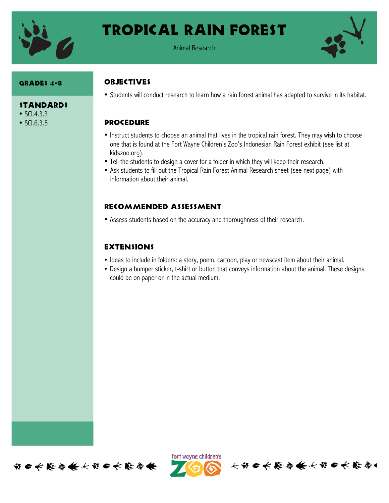

## Tropical rain Forest

Animal Research



#### Grades 4-8

#### **STANDARDS**

- $SCl.4.3.3$
- SCI.6.3.5

#### **OBJECTIVES**

• Students will conduct research to learn how a rain forest animal has adapted to survive in its habitat.

#### **PROCEDURE**

- Instruct students to choose an animal that lives in the tropical rain forest. They may wish to choose one that is found at the Fort Wayne Children's Zoo's Indonesian Rain Forest exhibit (see list at kidszoo.org).
- Tell the students to design a cover for a folder in which they will keep their research.
- Ask students to fill out the Tropical Rain Forest Animal Research sheet (see next page) with information about their animal.

## Recommended assessment

• Assess students based on the accuracy and thoroughness of their research.

### **EXTENSIONS**

- Ideas to include in folders: a story, poem, cartoon, play or newscast item about their animal.
- Design a bumper sticker, t-shirt or button that conveys information about the animal. These designs could be on paper or in the actual medium.